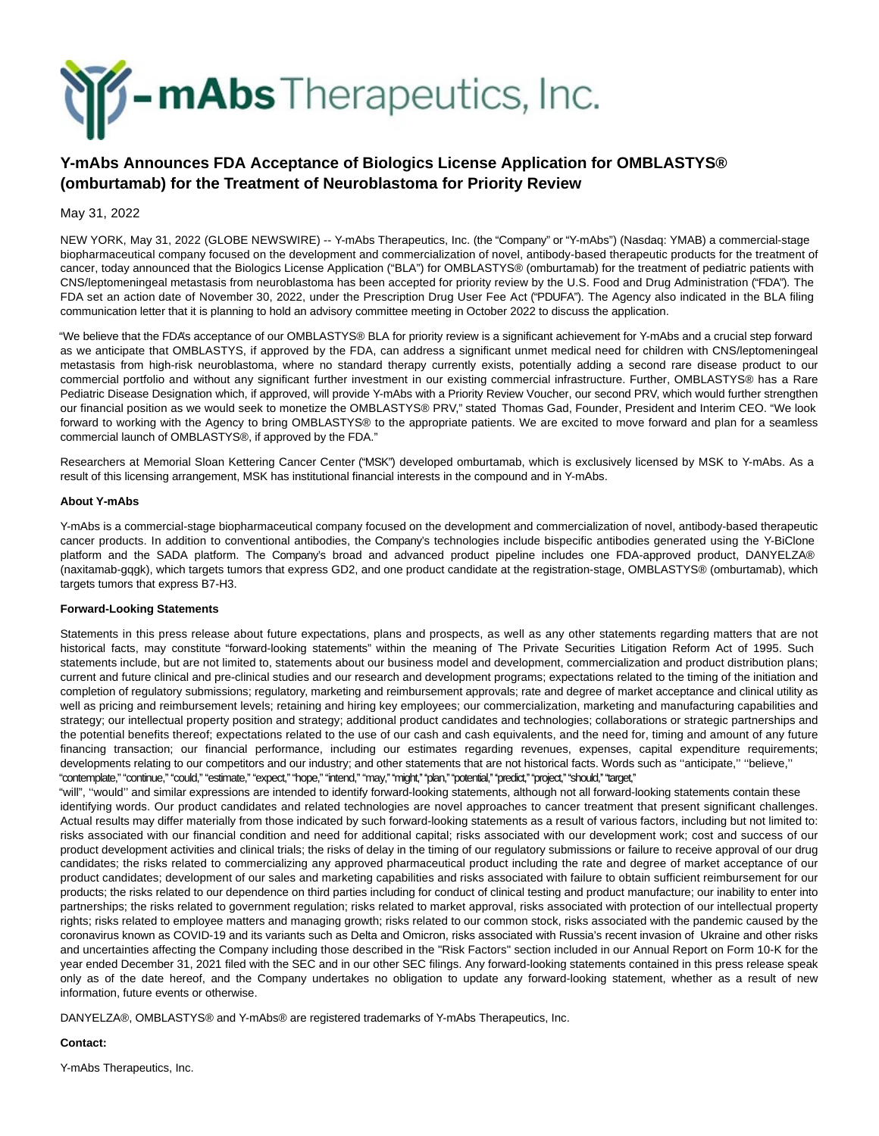

## **Y-mAbs Announces FDA Acceptance of Biologics License Application for OMBLASTYS® (omburtamab) for the Treatment of Neuroblastoma for Priority Review**

May 31, 2022

NEW YORK, May 31, 2022 (GLOBE NEWSWIRE) -- Y-mAbs Therapeutics, Inc. (the "Company" or "Y-mAbs") (Nasdaq: YMAB) a commercial-stage biopharmaceutical company focused on the development and commercialization of novel, antibody-based therapeutic products for the treatment of cancer, today announced that the Biologics License Application ("BLA") for OMBLASTYS® (omburtamab) for the treatment of pediatric patients with CNS/leptomeningeal metastasis from neuroblastoma has been accepted for priority review by the U.S. Food and Drug Administration ("FDA"). The FDA set an action date of November 30, 2022, under the Prescription Drug User Fee Act ("PDUFA"). The Agency also indicated in the BLA filing communication letter that it is planning to hold an advisory committee meeting in October 2022 to discuss the application.

"We believe that the FDA's acceptance of our OMBLASTYS® BLA for priority review is a significant achievement for Y-mAbs and a crucial step forward as we anticipate that OMBLASTYS, if approved by the FDA, can address a significant unmet medical need for children with CNS/leptomeningeal metastasis from high-risk neuroblastoma, where no standard therapy currently exists, potentially adding a second rare disease product to our commercial portfolio and without any significant further investment in our existing commercial infrastructure. Further, OMBLASTYS® has a Rare Pediatric Disease Designation which, if approved, will provide Y-mAbs with a Priority Review Voucher, our second PRV, which would further strengthen our financial position as we would seek to monetize the OMBLASTYS® PRV," stated Thomas Gad, Founder, President and Interim CEO. "We look forward to working with the Agency to bring OMBLASTYS® to the appropriate patients. We are excited to move forward and plan for a seamless commercial launch of OMBLASTYS®, if approved by the FDA."

Researchers at Memorial Sloan Kettering Cancer Center ("MSK") developed omburtamab, which is exclusively licensed by MSK to Y-mAbs. As a result of this licensing arrangement, MSK has institutional financial interests in the compound and in Y-mAbs.

## **About Y-mAbs**

Y-mAbs is a commercial-stage biopharmaceutical company focused on the development and commercialization of novel, antibody-based therapeutic cancer products. In addition to conventional antibodies, the Company's technologies include bispecific antibodies generated using the Y-BiClone platform and the SADA platform. The Company's broad and advanced product pipeline includes one FDA-approved product, DANYELZA® (naxitamab-gqgk), which targets tumors that express GD2, and one product candidate at the registration-stage, OMBLASTYS® (omburtamab), which targets tumors that express B7-H3.

## **Forward-Looking Statements**

Statements in this press release about future expectations, plans and prospects, as well as any other statements regarding matters that are not historical facts, may constitute "forward-looking statements" within the meaning of The Private Securities Litigation Reform Act of 1995. Such statements include, but are not limited to, statements about our business model and development, commercialization and product distribution plans; current and future clinical and pre-clinical studies and our research and development programs; expectations related to the timing of the initiation and completion of regulatory submissions; regulatory, marketing and reimbursement approvals; rate and degree of market acceptance and clinical utility as well as pricing and reimbursement levels; retaining and hiring key employees; our commercialization, marketing and manufacturing capabilities and strategy; our intellectual property position and strategy; additional product candidates and technologies; collaborations or strategic partnerships and the potential benefits thereof; expectations related to the use of our cash and cash equivalents, and the need for, timing and amount of any future financing transaction; our financial performance, including our estimates regarding revenues, expenses, capital expenditure requirements; developments relating to our competitors and our industry; and other statements that are not historical facts. Words such as ''anticipate,'' ''believe,'' "contemplate," "continue," "could," "estimate," "expect," "hope," "intend," "may," "might," "plan," "potential," "predict," "project," "should," "target,"

"will", ''would'' and similar expressions are intended to identify forward-looking statements, although not all forward-looking statements contain these identifying words. Our product candidates and related technologies are novel approaches to cancer treatment that present significant challenges. Actual results may differ materially from those indicated by such forward-looking statements as a result of various factors, including but not limited to: risks associated with our financial condition and need for additional capital; risks associated with our development work; cost and success of our product development activities and clinical trials; the risks of delay in the timing of our regulatory submissions or failure to receive approval of our drug candidates; the risks related to commercializing any approved pharmaceutical product including the rate and degree of market acceptance of our product candidates; development of our sales and marketing capabilities and risks associated with failure to obtain sufficient reimbursement for our products; the risks related to our dependence on third parties including for conduct of clinical testing and product manufacture; our inability to enter into partnerships; the risks related to government regulation; risks related to market approval, risks associated with protection of our intellectual property rights; risks related to employee matters and managing growth; risks related to our common stock, risks associated with the pandemic caused by the coronavirus known as COVID-19 and its variants such as Delta and Omicron, risks associated with Russia's recent invasion of Ukraine and other risks and uncertainties affecting the Company including those described in the "Risk Factors" section included in our Annual Report on Form 10-K for the year ended December 31, 2021 filed with the SEC and in our other SEC filings. Any forward-looking statements contained in this press release speak only as of the date hereof, and the Company undertakes no obligation to update any forward-looking statement, whether as a result of new information, future events or otherwise.

DANYELZA®, OMBLASTYS® and Y-mAbs® are registered trademarks of Y-mAbs Therapeutics, Inc.

## **Contact:**

Y-mAbs Therapeutics, Inc.